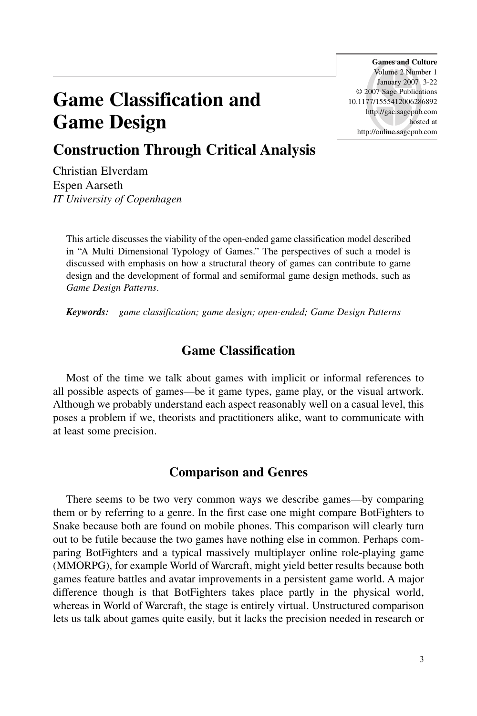# **Game Classification and Game Design**

**Games and Culture** Volume 2 Number 1 January 2007 3-22 © 2007 Sage Publications 10.1177/1555412006286892 http://gac.sagepub.com hosted at http://online.sagepub.com

## **Construction Through Critical Analysis**

Christian Elverdam Espen Aarseth *IT University of Copenhagen*

> This article discusses the viability of the open-ended game classification model described in "A Multi Dimensional Typology of Games." The perspectives of such a model is discussed with emphasis on how a structural theory of games can contribute to game design and the development of formal and semiformal game design methods, such as *Game Design Patterns*.

*Keywords: game classification; game design; open-ended; Game Design Patterns*

#### **Game Classification**

Most of the time we talk about games with implicit or informal references to all possible aspects of games—be it game types, game play, or the visual artwork. Although we probably understand each aspect reasonably well on a casual level, this poses a problem if we, theorists and practitioners alike, want to communicate with at least some precision.

#### **Comparison and Genres**

There seems to be two very common ways we describe games—by comparing them or by referring to a genre. In the first case one might compare BotFighters to Snake because both are found on mobile phones. This comparison will clearly turn out to be futile because the two games have nothing else in common. Perhaps comparing BotFighters and a typical massively multiplayer online role-playing game (MMORPG), for example World of Warcraft, might yield better results because both games feature battles and avatar improvements in a persistent game world. A major difference though is that BotFighters takes place partly in the physical world, whereas in World of Warcraft, the stage is entirely virtual. Unstructured comparison lets us talk about games quite easily, but it lacks the precision needed in research or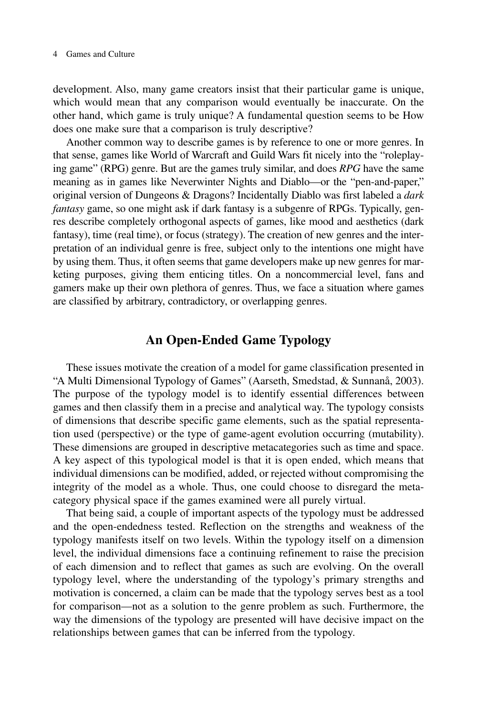development. Also, many game creators insist that their particular game is unique, which would mean that any comparison would eventually be inaccurate. On the other hand, which game is truly unique? A fundamental question seems to be How does one make sure that a comparison is truly descriptive?

Another common way to describe games is by reference to one or more genres. In that sense, games like World of Warcraft and Guild Wars fit nicely into the "roleplaying game" (RPG) genre. But are the games truly similar, and does *RPG* have the same meaning as in games like Neverwinter Nights and Diablo—or the "pen-and-paper," original version of Dungeons & Dragons? Incidentally Diablo was first labeled a *dark fantasy* game, so one might ask if dark fantasy is a subgenre of RPGs. Typically, genres describe completely orthogonal aspects of games, like mood and aesthetics (dark fantasy), time (real time), or focus (strategy). The creation of new genres and the interpretation of an individual genre is free, subject only to the intentions one might have by using them. Thus, it often seems that game developers make up new genres for marketing purposes, giving them enticing titles. On a noncommercial level, fans and gamers make up their own plethora of genres. Thus, we face a situation where games are classified by arbitrary, contradictory, or overlapping genres.

#### **An Open-Ended Game Typology**

These issues motivate the creation of a model for game classification presented in "A Multi Dimensional Typology of Games" (Aarseth, Smedstad, & Sunnanå, 2003). The purpose of the typology model is to identify essential differences between games and then classify them in a precise and analytical way. The typology consists of dimensions that describe specific game elements, such as the spatial representation used (perspective) or the type of game-agent evolution occurring (mutability). These dimensions are grouped in descriptive metacategories such as time and space. A key aspect of this typological model is that it is open ended, which means that individual dimensions can be modified, added, or rejected without compromising the integrity of the model as a whole. Thus, one could choose to disregard the metacategory physical space if the games examined were all purely virtual.

That being said, a couple of important aspects of the typology must be addressed and the open-endedness tested. Reflection on the strengths and weakness of the typology manifests itself on two levels. Within the typology itself on a dimension level, the individual dimensions face a continuing refinement to raise the precision of each dimension and to reflect that games as such are evolving. On the overall typology level, where the understanding of the typology's primary strengths and motivation is concerned, a claim can be made that the typology serves best as a tool for comparison—not as a solution to the genre problem as such. Furthermore, the way the dimensions of the typology are presented will have decisive impact on the relationships between games that can be inferred from the typology.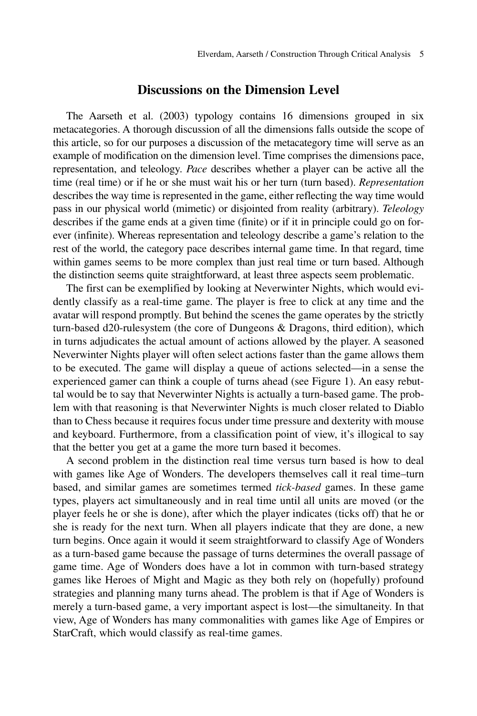#### **Discussions on the Dimension Level**

The Aarseth et al. (2003) typology contains 16 dimensions grouped in six metacategories. A thorough discussion of all the dimensions falls outside the scope of this article, so for our purposes a discussion of the metacategory time will serve as an example of modification on the dimension level. Time comprises the dimensions pace, representation, and teleology. *Pace* describes whether a player can be active all the time (real time) or if he or she must wait his or her turn (turn based). *Representation* describes the way time is represented in the game, either reflecting the way time would pass in our physical world (mimetic) or disjointed from reality (arbitrary). *Teleology* describes if the game ends at a given time (finite) or if it in principle could go on forever (infinite). Whereas representation and teleology describe a game's relation to the rest of the world, the category pace describes internal game time. In that regard, time within games seems to be more complex than just real time or turn based. Although the distinction seems quite straightforward, at least three aspects seem problematic.

The first can be exemplified by looking at Neverwinter Nights, which would evidently classify as a real-time game. The player is free to click at any time and the avatar will respond promptly. But behind the scenes the game operates by the strictly turn-based d20-rulesystem (the core of Dungeons & Dragons, third edition), which in turns adjudicates the actual amount of actions allowed by the player. A seasoned Neverwinter Nights player will often select actions faster than the game allows them to be executed. The game will display a queue of actions selected—in a sense the experienced gamer can think a couple of turns ahead (see Figure 1). An easy rebuttal would be to say that Neverwinter Nights is actually a turn-based game. The problem with that reasoning is that Neverwinter Nights is much closer related to Diablo than to Chess because it requires focus under time pressure and dexterity with mouse and keyboard. Furthermore, from a classification point of view, it's illogical to say that the better you get at a game the more turn based it becomes.

A second problem in the distinction real time versus turn based is how to deal with games like Age of Wonders. The developers themselves call it real time–turn based, and similar games are sometimes termed *tick-based* games. In these game types, players act simultaneously and in real time until all units are moved (or the player feels he or she is done), after which the player indicates (ticks off) that he or she is ready for the next turn. When all players indicate that they are done, a new turn begins. Once again it would it seem straightforward to classify Age of Wonders as a turn-based game because the passage of turns determines the overall passage of game time. Age of Wonders does have a lot in common with turn-based strategy games like Heroes of Might and Magic as they both rely on (hopefully) profound strategies and planning many turns ahead. The problem is that if Age of Wonders is merely a turn-based game, a very important aspect is lost—the simultaneity. In that view, Age of Wonders has many commonalities with games like Age of Empires or StarCraft, which would classify as real-time games.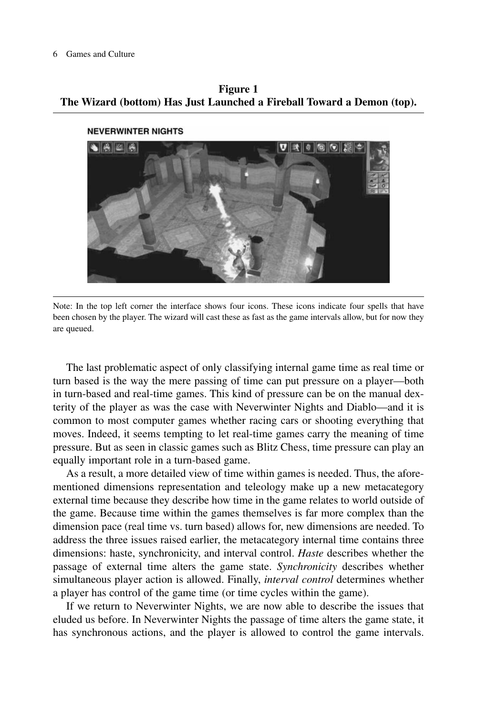#### 6 Games and Culture

**Figure 1 The Wizard (bottom) Has Just Launched a Fireball Toward a Demon (top).**



#### **NEVERWINTER NIGHTS**

Note: In the top left corner the interface shows four icons. These icons indicate four spells that have been chosen by the player. The wizard will cast these as fast as the game intervals allow, but for now they are queued.

The last problematic aspect of only classifying internal game time as real time or turn based is the way the mere passing of time can put pressure on a player—both in turn-based and real-time games. This kind of pressure can be on the manual dexterity of the player as was the case with Neverwinter Nights and Diablo—and it is common to most computer games whether racing cars or shooting everything that moves. Indeed, it seems tempting to let real-time games carry the meaning of time pressure. But as seen in classic games such as Blitz Chess, time pressure can play an equally important role in a turn-based game.

As a result, a more detailed view of time within games is needed. Thus, the aforementioned dimensions representation and teleology make up a new metacategory external time because they describe how time in the game relates to world outside of the game. Because time within the games themselves is far more complex than the dimension pace (real time vs. turn based) allows for, new dimensions are needed. To address the three issues raised earlier, the metacategory internal time contains three dimensions: haste, synchronicity, and interval control. *Haste* describes whether the passage of external time alters the game state. *Synchronicity* describes whether simultaneous player action is allowed. Finally, *interval control* determines whether a player has control of the game time (or time cycles within the game).

If we return to Neverwinter Nights, we are now able to describe the issues that eluded us before. In Neverwinter Nights the passage of time alters the game state, it has synchronous actions, and the player is allowed to control the game intervals.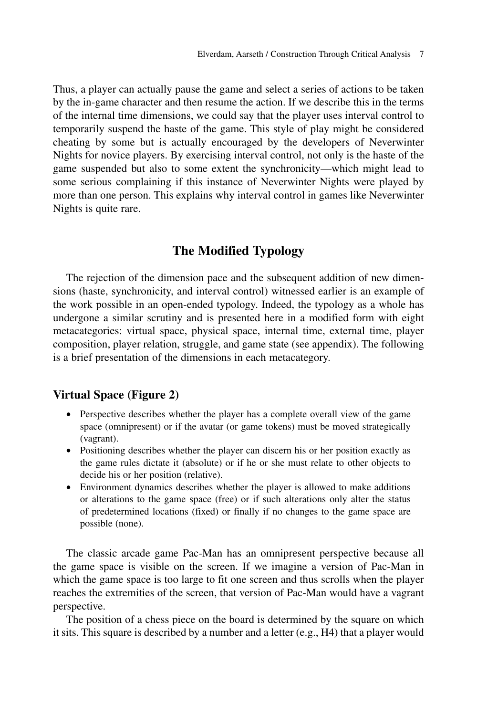Thus, a player can actually pause the game and select a series of actions to be taken by the in-game character and then resume the action. If we describe this in the terms of the internal time dimensions, we could say that the player uses interval control to temporarily suspend the haste of the game. This style of play might be considered cheating by some but is actually encouraged by the developers of Neverwinter Nights for novice players. By exercising interval control, not only is the haste of the game suspended but also to some extent the synchronicity—which might lead to some serious complaining if this instance of Neverwinter Nights were played by more than one person. This explains why interval control in games like Neverwinter Nights is quite rare.

### **The Modified Typology**

The rejection of the dimension pace and the subsequent addition of new dimensions (haste, synchronicity, and interval control) witnessed earlier is an example of the work possible in an open-ended typology. Indeed, the typology as a whole has undergone a similar scrutiny and is presented here in a modified form with eight metacategories: virtual space, physical space, internal time, external time, player composition, player relation, struggle, and game state (see appendix). The following is a brief presentation of the dimensions in each metacategory.

#### **Virtual Space (Figure 2)**

- Perspective describes whether the player has a complete overall view of the game space (omnipresent) or if the avatar (or game tokens) must be moved strategically (vagrant).
- Positioning describes whether the player can discern his or her position exactly as the game rules dictate it (absolute) or if he or she must relate to other objects to decide his or her position (relative).
- Environment dynamics describes whether the player is allowed to make additions or alterations to the game space (free) or if such alterations only alter the status of predetermined locations (fixed) or finally if no changes to the game space are possible (none).

The classic arcade game Pac-Man has an omnipresent perspective because all the game space is visible on the screen. If we imagine a version of Pac-Man in which the game space is too large to fit one screen and thus scrolls when the player reaches the extremities of the screen, that version of Pac-Man would have a vagrant perspective.

The position of a chess piece on the board is determined by the square on which it sits. This square is described by a number and a letter (e.g., H4) that a player would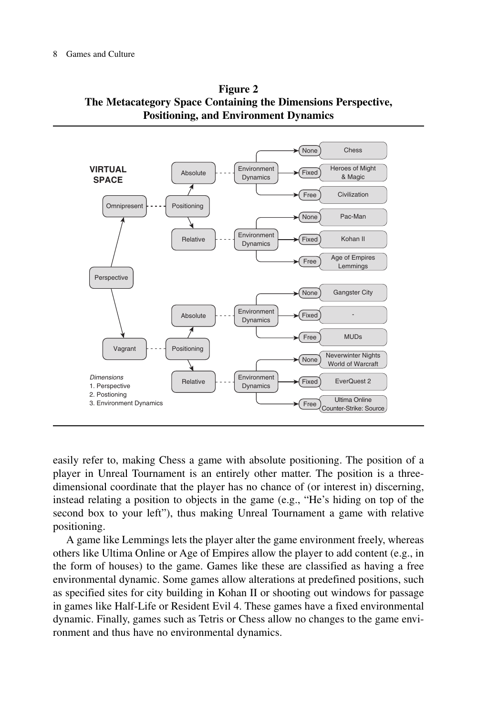

**Figure 2 The Metacategory Space Containing the Dimensions Perspective, Positioning, and Environment Dynamics**

easily refer to, making Chess a game with absolute positioning. The position of a player in Unreal Tournament is an entirely other matter. The position is a threedimensional coordinate that the player has no chance of (or interest in) discerning, instead relating a position to objects in the game (e.g., "He's hiding on top of the second box to your left"), thus making Unreal Tournament a game with relative positioning.

A game like Lemmings lets the player alter the game environment freely, whereas others like Ultima Online or Age of Empires allow the player to add content (e.g., in the form of houses) to the game. Games like these are classified as having a free environmental dynamic. Some games allow alterations at predefined positions, such as specified sites for city building in Kohan II or shooting out windows for passage in games like Half-Life or Resident Evil 4. These games have a fixed environmental dynamic. Finally, games such as Tetris or Chess allow no changes to the game environment and thus have no environmental dynamics.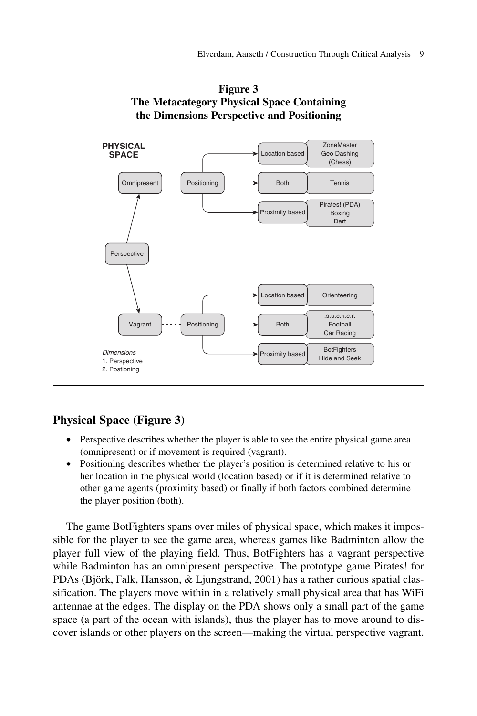

**Figure 3 The Metacategory Physical Space Containing the Dimensions Perspective and Positioning**

#### **Physical Space (Figure 3)**

- Perspective describes whether the player is able to see the entire physical game area (omnipresent) or if movement is required (vagrant).
- Positioning describes whether the player's position is determined relative to his or her location in the physical world (location based) or if it is determined relative to other game agents (proximity based) or finally if both factors combined determine the player position (both).

The game BotFighters spans over miles of physical space, which makes it impossible for the player to see the game area, whereas games like Badminton allow the player full view of the playing field. Thus, BotFighters has a vagrant perspective while Badminton has an omnipresent perspective. The prototype game Pirates! for PDAs (Björk, Falk, Hansson, & Ljungstrand, 2001) has a rather curious spatial classification. The players move within in a relatively small physical area that has WiFi antennae at the edges. The display on the PDA shows only a small part of the game space (a part of the ocean with islands), thus the player has to move around to discover islands or other players on the screen—making the virtual perspective vagrant.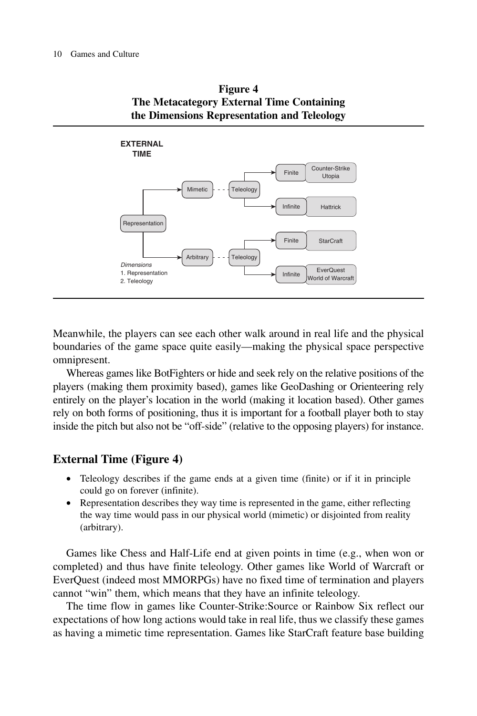

**Figure 4 The Metacategory External Time Containing the Dimensions Representation and Teleology**

Meanwhile, the players can see each other walk around in real life and the physical boundaries of the game space quite easily—making the physical space perspective omnipresent.

Whereas games like BotFighters or hide and seek rely on the relative positions of the players (making them proximity based), games like GeoDashing or Orienteering rely entirely on the player's location in the world (making it location based). Other games rely on both forms of positioning, thus it is important for a football player both to stay inside the pitch but also not be "off-side" (relative to the opposing players) for instance.

#### **External Time (Figure 4)**

- Teleology describes if the game ends at a given time (finite) or if it in principle could go on forever (infinite).
- Representation describes they way time is represented in the game, either reflecting the way time would pass in our physical world (mimetic) or disjointed from reality (arbitrary).

Games like Chess and Half-Life end at given points in time (e.g., when won or completed) and thus have finite teleology. Other games like World of Warcraft or EverQuest (indeed most MMORPGs) have no fixed time of termination and players cannot "win" them, which means that they have an infinite teleology.

The time flow in games like Counter-Strike:Source or Rainbow Six reflect our expectations of how long actions would take in real life, thus we classify these games as having a mimetic time representation. Games like StarCraft feature base building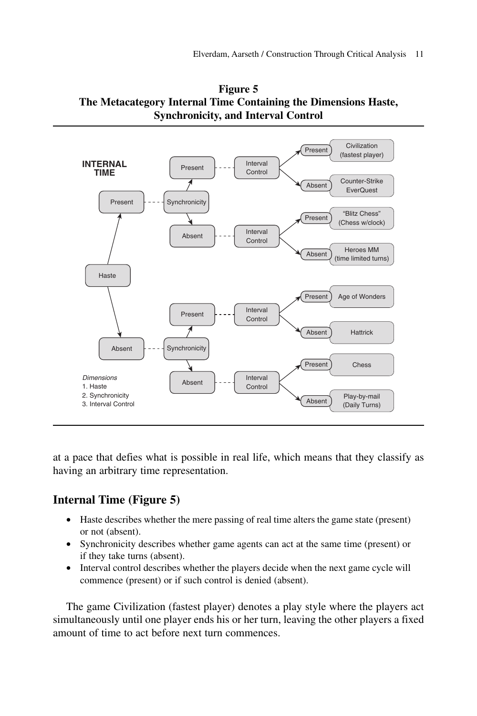

**Figure 5 The Metacategory Internal Time Containing the Dimensions Haste, Synchronicity, and Interval Control**

at a pace that defies what is possible in real life, which means that they classify as having an arbitrary time representation.

#### **Internal Time (Figure 5)**

- Haste describes whether the mere passing of real time alters the game state (present) or not (absent).
- Synchronicity describes whether game agents can act at the same time (present) or if they take turns (absent).
- Interval control describes whether the players decide when the next game cycle will commence (present) or if such control is denied (absent).

The game Civilization (fastest player) denotes a play style where the players act simultaneously until one player ends his or her turn, leaving the other players a fixed amount of time to act before next turn commences.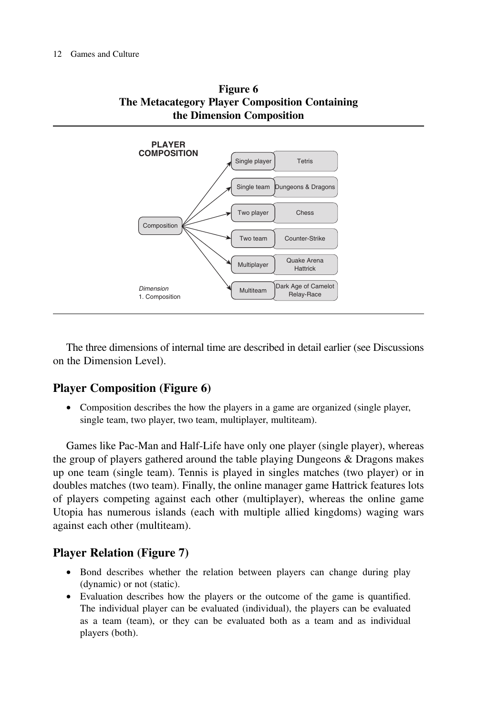

**Figure 6 The Metacategory Player Composition Containing the Dimension Composition**

The three dimensions of internal time are described in detail earlier (see Discussions on the Dimension Level).

#### **Player Composition (Figure 6)**

• Composition describes the how the players in a game are organized (single player, single team, two player, two team, multiplayer, multiteam).

Games like Pac-Man and Half-Life have only one player (single player), whereas the group of players gathered around the table playing Dungeons & Dragons makes up one team (single team). Tennis is played in singles matches (two player) or in doubles matches (two team). Finally, the online manager game Hattrick features lots of players competing against each other (multiplayer), whereas the online game Utopia has numerous islands (each with multiple allied kingdoms) waging wars against each other (multiteam).

#### **Player Relation (Figure 7)**

- Bond describes whether the relation between players can change during play (dynamic) or not (static).
- Evaluation describes how the players or the outcome of the game is quantified. The individual player can be evaluated (individual), the players can be evaluated as a team (team), or they can be evaluated both as a team and as individual players (both).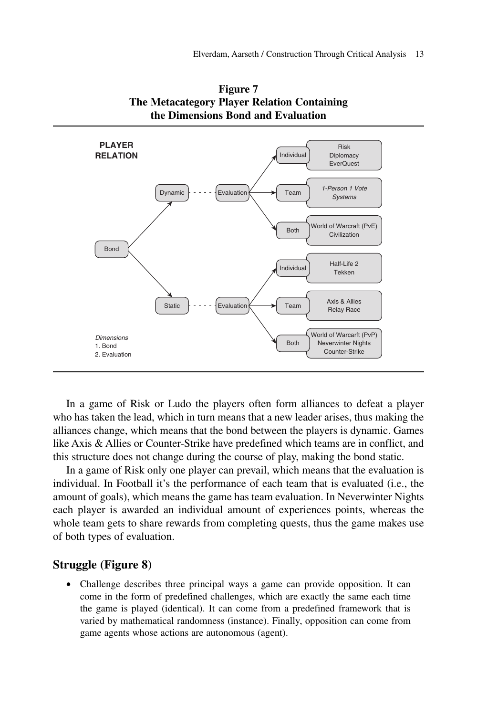

**Figure 7 The Metacategory Player Relation Containing the Dimensions Bond and Evaluation**

In a game of Risk or Ludo the players often form alliances to defeat a player who has taken the lead, which in turn means that a new leader arises, thus making the alliances change, which means that the bond between the players is dynamic. Games like Axis & Allies or Counter-Strike have predefined which teams are in conflict, and this structure does not change during the course of play, making the bond static.

In a game of Risk only one player can prevail, which means that the evaluation is individual. In Football it's the performance of each team that is evaluated (i.e., the amount of goals), which means the game has team evaluation. In Neverwinter Nights each player is awarded an individual amount of experiences points, whereas the whole team gets to share rewards from completing quests, thus the game makes use of both types of evaluation.

#### **Struggle (Figure 8)**

• Challenge describes three principal ways a game can provide opposition. It can come in the form of predefined challenges, which are exactly the same each time the game is played (identical). It can come from a predefined framework that is varied by mathematical randomness (instance). Finally, opposition can come from game agents whose actions are autonomous (agent).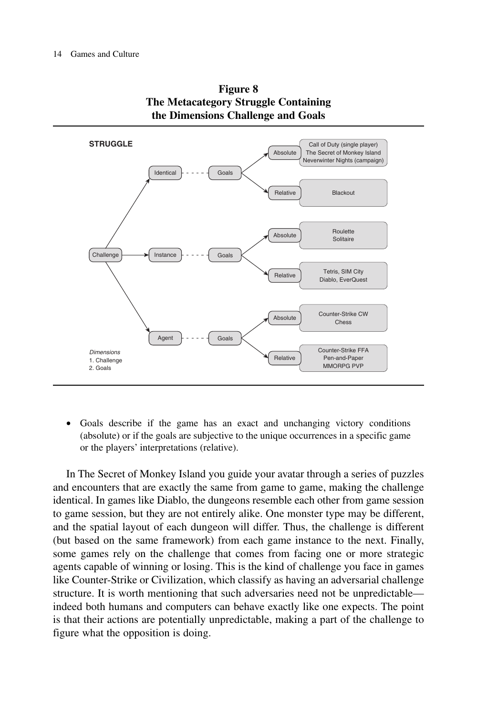

**Figure 8 The Metacategory Struggle Containing the Dimensions Challenge and Goals**

• Goals describe if the game has an exact and unchanging victory conditions (absolute) or if the goals are subjective to the unique occurrences in a specific game or the players' interpretations (relative).

In The Secret of Monkey Island you guide your avatar through a series of puzzles and encounters that are exactly the same from game to game, making the challenge identical. In games like Diablo, the dungeons resemble each other from game session to game session, but they are not entirely alike. One monster type may be different, and the spatial layout of each dungeon will differ. Thus, the challenge is different (but based on the same framework) from each game instance to the next. Finally, some games rely on the challenge that comes from facing one or more strategic agents capable of winning or losing. This is the kind of challenge you face in games like Counter-Strike or Civilization, which classify as having an adversarial challenge structure. It is worth mentioning that such adversaries need not be unpredictable indeed both humans and computers can behave exactly like one expects. The point is that their actions are potentially unpredictable, making a part of the challenge to figure what the opposition is doing.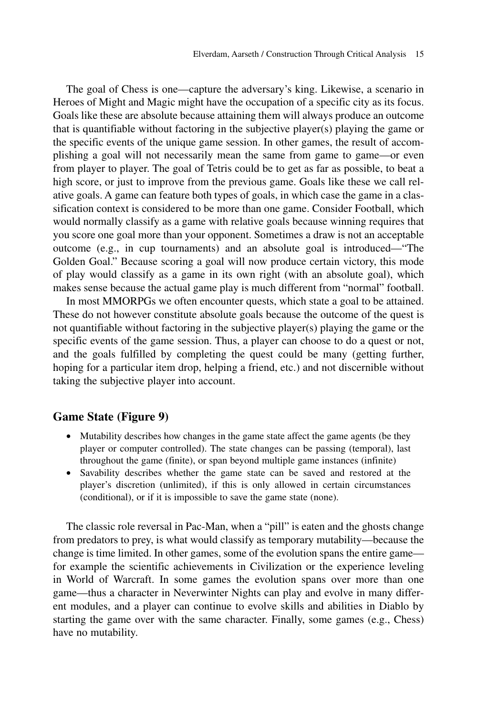The goal of Chess is one—capture the adversary's king. Likewise, a scenario in Heroes of Might and Magic might have the occupation of a specific city as its focus. Goals like these are absolute because attaining them will always produce an outcome that is quantifiable without factoring in the subjective player(s) playing the game or the specific events of the unique game session. In other games, the result of accomplishing a goal will not necessarily mean the same from game to game—or even from player to player. The goal of Tetris could be to get as far as possible, to beat a high score, or just to improve from the previous game. Goals like these we call relative goals. A game can feature both types of goals, in which case the game in a classification context is considered to be more than one game. Consider Football, which would normally classify as a game with relative goals because winning requires that you score one goal more than your opponent. Sometimes a draw is not an acceptable outcome (e.g., in cup tournaments) and an absolute goal is introduced—"The Golden Goal." Because scoring a goal will now produce certain victory, this mode of play would classify as a game in its own right (with an absolute goal), which makes sense because the actual game play is much different from "normal" football.

In most MMORPGs we often encounter quests, which state a goal to be attained. These do not however constitute absolute goals because the outcome of the quest is not quantifiable without factoring in the subjective player(s) playing the game or the specific events of the game session. Thus, a player can choose to do a quest or not, and the goals fulfilled by completing the quest could be many (getting further, hoping for a particular item drop, helping a friend, etc.) and not discernible without taking the subjective player into account.

#### **Game State (Figure 9)**

- Mutability describes how changes in the game state affect the game agents (be they player or computer controlled). The state changes can be passing (temporal), last throughout the game (finite), or span beyond multiple game instances (infinite)
- Savability describes whether the game state can be saved and restored at the player's discretion (unlimited), if this is only allowed in certain circumstances (conditional), or if it is impossible to save the game state (none).

The classic role reversal in Pac-Man, when a "pill" is eaten and the ghosts change from predators to prey, is what would classify as temporary mutability—because the change is time limited. In other games, some of the evolution spans the entire game for example the scientific achievements in Civilization or the experience leveling in World of Warcraft. In some games the evolution spans over more than one game—thus a character in Neverwinter Nights can play and evolve in many different modules, and a player can continue to evolve skills and abilities in Diablo by starting the game over with the same character. Finally, some games (e.g., Chess) have no mutability.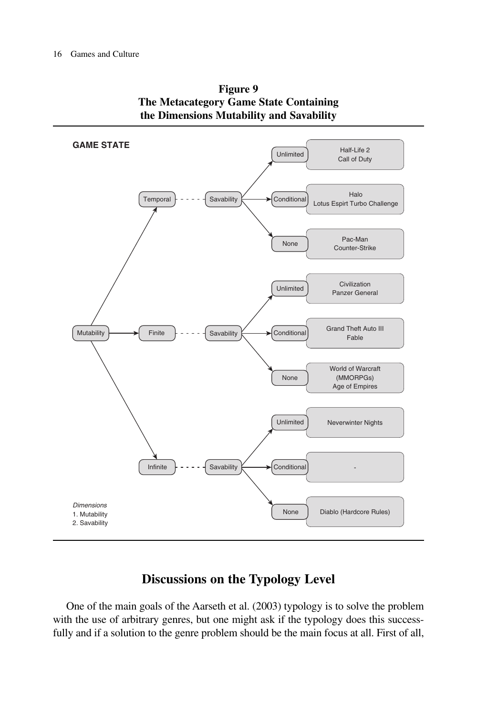

**Figure 9 The Metacategory Game State Containing the Dimensions Mutability and Savability**

## **Discussions on the Typology Level**

One of the main goals of the Aarseth et al. (2003) typology is to solve the problem with the use of arbitrary genres, but one might ask if the typology does this successfully and if a solution to the genre problem should be the main focus at all. First of all,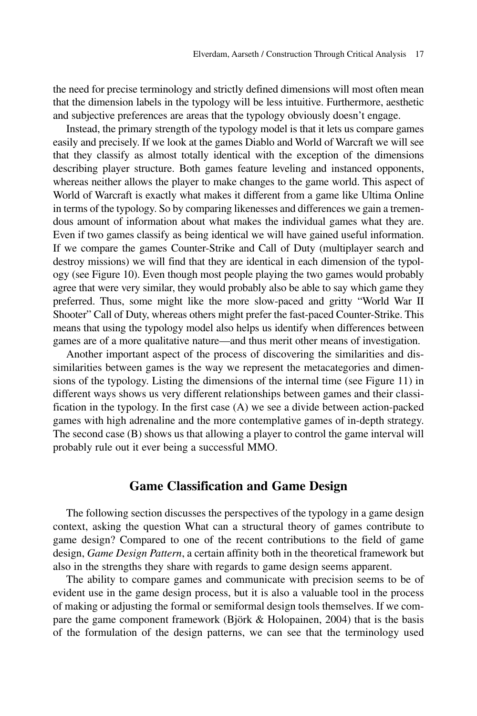the need for precise terminology and strictly defined dimensions will most often mean that the dimension labels in the typology will be less intuitive. Furthermore, aesthetic and subjective preferences are areas that the typology obviously doesn't engage.

Instead, the primary strength of the typology model is that it lets us compare games easily and precisely. If we look at the games Diablo and World of Warcraft we will see that they classify as almost totally identical with the exception of the dimensions describing player structure. Both games feature leveling and instanced opponents, whereas neither allows the player to make changes to the game world. This aspect of World of Warcraft is exactly what makes it different from a game like Ultima Online in terms of the typology. So by comparing likenesses and differences we gain a tremendous amount of information about what makes the individual games what they are. Even if two games classify as being identical we will have gained useful information. If we compare the games Counter-Strike and Call of Duty (multiplayer search and destroy missions) we will find that they are identical in each dimension of the typology (see Figure 10). Even though most people playing the two games would probably agree that were very similar, they would probably also be able to say which game they preferred. Thus, some might like the more slow-paced and gritty "World War II Shooter" Call of Duty, whereas others might prefer the fast-paced Counter-Strike. This means that using the typology model also helps us identify when differences between games are of a more qualitative nature—and thus merit other means of investigation.

Another important aspect of the process of discovering the similarities and dissimilarities between games is the way we represent the metacategories and dimensions of the typology. Listing the dimensions of the internal time (see Figure 11) in different ways shows us very different relationships between games and their classification in the typology. In the first case (A) we see a divide between action-packed games with high adrenaline and the more contemplative games of in-depth strategy. The second case (B) shows us that allowing a player to control the game interval will probably rule out it ever being a successful MMO.

#### **Game Classification and Game Design**

The following section discusses the perspectives of the typology in a game design context, asking the question What can a structural theory of games contribute to game design? Compared to one of the recent contributions to the field of game design, *Game Design Pattern*, a certain affinity both in the theoretical framework but also in the strengths they share with regards to game design seems apparent.

The ability to compare games and communicate with precision seems to be of evident use in the game design process, but it is also a valuable tool in the process of making or adjusting the formal or semiformal design tools themselves. If we compare the game component framework (Björk & Holopainen, 2004) that is the basis of the formulation of the design patterns, we can see that the terminology used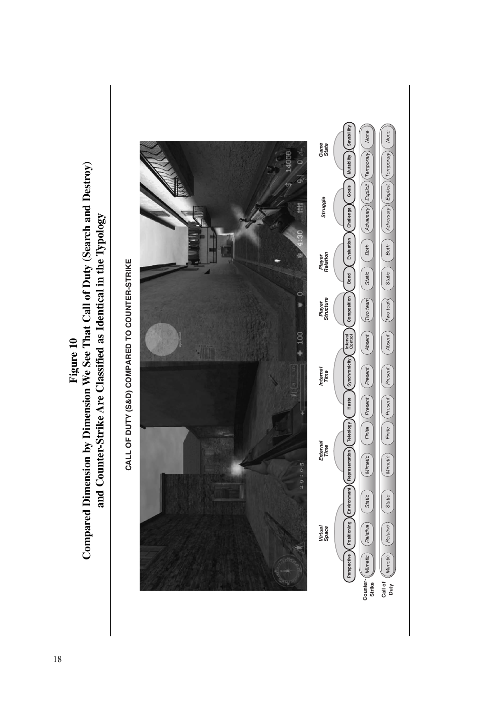

**Figure 10 Compared Dimension by Dimension We See That Call of Duty (Search and Destroy)**

Compared Dimension by Dimension We See That Call of Duty (Search and Destroy)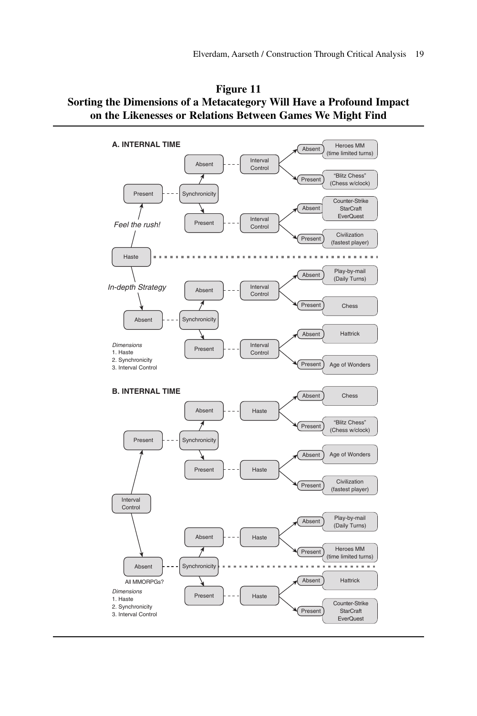

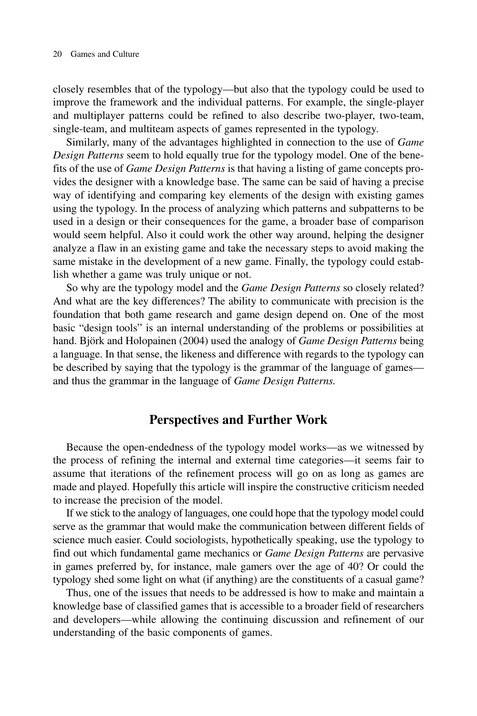closely resembles that of the typology—but also that the typology could be used to improve the framework and the individual patterns. For example, the single-player and multiplayer patterns could be refined to also describe two-player, two-team, single-team, and multiteam aspects of games represented in the typology.

Similarly, many of the advantages highlighted in connection to the use of *Game Design Patterns* seem to hold equally true for the typology model. One of the benefits of the use of *Game Design Patterns* is that having a listing of game concepts provides the designer with a knowledge base. The same can be said of having a precise way of identifying and comparing key elements of the design with existing games using the typology. In the process of analyzing which patterns and subpatterns to be used in a design or their consequences for the game, a broader base of comparison would seem helpful. Also it could work the other way around, helping the designer analyze a flaw in an existing game and take the necessary steps to avoid making the same mistake in the development of a new game. Finally, the typology could establish whether a game was truly unique or not.

So why are the typology model and the *Game Design Patterns* so closely related? And what are the key differences? The ability to communicate with precision is the foundation that both game research and game design depend on. One of the most basic "design tools" is an internal understanding of the problems or possibilities at hand. Björk and Holopainen (2004) used the analogy of *Game Design Patterns* being a language. In that sense, the likeness and difference with regards to the typology can be described by saying that the typology is the grammar of the language of games and thus the grammar in the language of *Game Design Patterns.*

#### **Perspectives and Further Work**

Because the open-endedness of the typology model works—as we witnessed by the process of refining the internal and external time categories—it seems fair to assume that iterations of the refinement process will go on as long as games are made and played. Hopefully this article will inspire the constructive criticism needed to increase the precision of the model.

If we stick to the analogy of languages, one could hope that the typology model could serve as the grammar that would make the communication between different fields of science much easier. Could sociologists, hypothetically speaking, use the typology to find out which fundamental game mechanics or *Game Design Patterns* are pervasive in games preferred by, for instance, male gamers over the age of 40? Or could the typology shed some light on what (if anything) are the constituents of a casual game?

Thus, one of the issues that needs to be addressed is how to make and maintain a knowledge base of classified games that is accessible to a broader field of researchers and developers—while allowing the continuing discussion and refinement of our understanding of the basic components of games.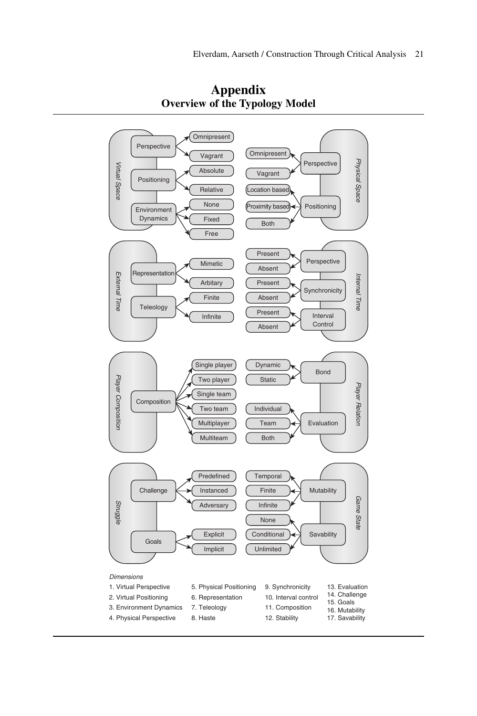

**Appendix Overview of the Typology Model**